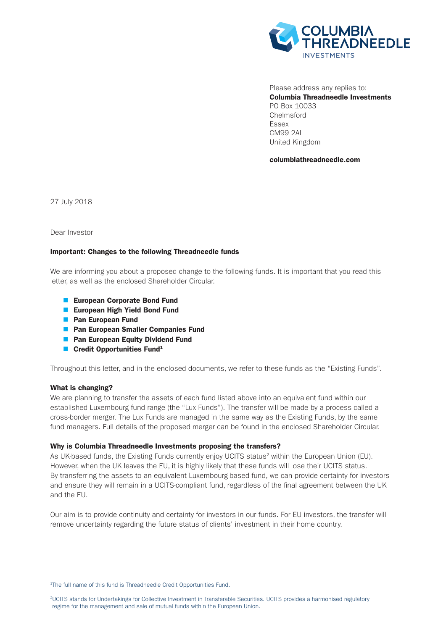

Please address any replies to: Columbia Threadneedle Investments PO Box 10033 Chelmsford Essex CM99 2AL United Kingdom

columbiathreadneedle.com

27 July 2018

Dear Investor

# Important: Changes to the following Threadneedle funds

We are informing you about a proposed change to the following funds. It is important that you read this letter, as well as the enclosed Shareholder Circular.

- **n** European Corporate Bond Fund
- **European High Yield Bond Fund**
- **n** Pan European Fund
- **n** Pan European Smaller Companies Fund
- **n** Pan European Equity Dividend Fund
- **n** Credit Opportunities Fund<sup>1</sup>

Throughout this letter, and in the enclosed documents, we refer to these funds as the "Existing Funds".

## What is changing?

We are planning to transfer the assets of each fund listed above into an equivalent fund within our established Luxembourg fund range (the "Lux Funds"). The transfer will be made by a process called a cross-border merger. The Lux Funds are managed in the same way as the Existing Funds, by the same fund managers. Full details of the proposed merger can be found in the enclosed Shareholder Circular.

## Why is Columbia Threadneedle Investments proposing the transfers?

As UK-based funds, the Existing Funds currently enjoy UCITS status<sup>2</sup> within the European Union (EU). However, when the UK leaves the EU, it is highly likely that these funds will lose their UCITS status. By transferring the assets to an equivalent Luxembourg-based fund, we can provide certainty for investors and ensure they will remain in a UCITS-compliant fund, regardless of the final agreement between the UK and the EU.

Our aim is to provide continuity and certainty for investors in our funds. For EU investors, the transfer will remove uncertainty regarding the future status of clients' investment in their home country.

<sup>1</sup>The full name of this fund is Threadneedle Credit Opportunities Fund.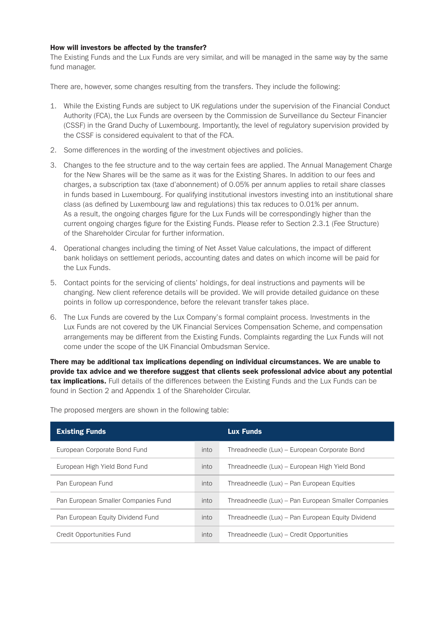# How will investors be affected by the transfer?

The Existing Funds and the Lux Funds are very similar, and will be managed in the same way by the same fund manager.

There are, however, some changes resulting from the transfers. They include the following:

- 1. While the Existing Funds are subject to UK regulations under the supervision of the Financial Conduct Authority (FCA), the Lux Funds are overseen by the Commission de Surveillance du Secteur Financier (CSSF) in the Grand Duchy of Luxembourg. Importantly, the level of regulatory supervision provided by the CSSF is considered equivalent to that of the FCA.
- 2. Some differences in the wording of the investment objectives and policies.
- 3. Changes to the fee structure and to the way certain fees are applied. The Annual Management Charge for the New Shares will be the same as it was for the Existing Shares. In addition to our fees and charges, a subscription tax (taxe d'abonnement) of 0.05% per annum applies to retail share classes in funds based in Luxembourg. For qualifying institutional investors investing into an institutional share class (as defined by Luxembourg law and regulations) this tax reduces to 0.01% per annum. As a result, the ongoing charges figure for the Lux Funds will be correspondingly higher than the current ongoing charges figure for the Existing Funds. Please refer to Section 2.3.1 (Fee Structure) of the Shareholder Circular for further information.
- 4. Operational changes including the timing of Net Asset Value calculations, the impact of different bank holidays on settlement periods, accounting dates and dates on which income will be paid for the Lux Funds.
- 5. Contact points for the servicing of clients' holdings, for deal instructions and payments will be changing. New client reference details will be provided. We will provide detailed guidance on these points in follow up correspondence, before the relevant transfer takes place.
- 6. The Lux Funds are covered by the Lux Company's formal complaint process. Investments in the Lux Funds are not covered by the UK Financial Services Compensation Scheme, and compensation arrangements may be different from the Existing Funds. Complaints regarding the Lux Funds will not come under the scope of the UK Financial Ombudsman Service.

There may be additional tax implications depending on individual circumstances. We are unable to provide tax advice and we therefore suggest that clients seek professional advice about any potential tax implications. Full details of the differences between the Existing Funds and the Lux Funds can be found in Section 2 and Appendix 1 of the Shareholder Circular.

| <b>Existing Funds</b>               |      | <b>Lux Funds</b>                                    |
|-------------------------------------|------|-----------------------------------------------------|
| European Corporate Bond Fund        | into | Threadneedle (Lux) – European Corporate Bond        |
| European High Yield Bond Fund       | into | Threadneedle (Lux) – European High Yield Bond       |
| Pan European Fund                   | into | Threadneedle (Lux) – Pan European Equities          |
| Pan European Smaller Companies Fund | into | Threadneedle (Lux) – Pan European Smaller Companies |
| Pan European Equity Dividend Fund   | into | Threadneedle (Lux) – Pan European Equity Dividend   |
| Credit Opportunities Fund           | into | Threadneedle (Lux) - Credit Opportunities           |

The proposed mergers are shown in the following table: